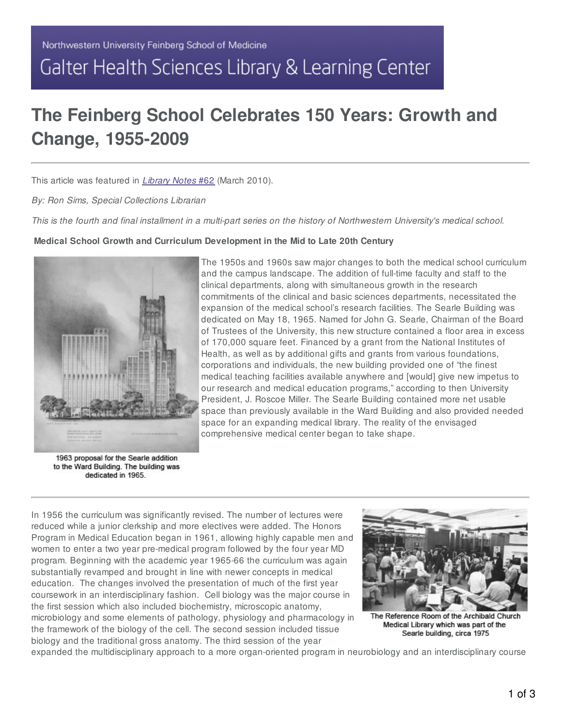# Galter Health Sciences Library & Learning Center

# **The Feinberg School Celebrates 150 Years: Growth and Change, 1955-2009**

This article was featured in *[Library](http://www.galter.northwestern.edu/Library-Notes/Library-Notes-62-March-2010/) Notes* #62 (March 2010).

*By: Ron Sims, Special Collections Librarian*

This is the fourth and final installment in a multi-part series on the history of Northwestern University's medical school.

#### **Medical School Growth and Curriculum Development in the Mid to Late 20th Century**



The 1950s and 1960s saw major changes to both the medical school curriculum and the campus landscape. The addition of full-time faculty and staff to the clinical departments, along with simultaneous growth in the research commitments of the clinical and basic sciences departments, necessitated the expansion of the medical school's research facilities. The Searle Building was dedicated on May 18, 1965. Named for John G. Searle, Chairman of the Board of Trustees of the University, this new structure contained a floor area in excess of 170,000 square feet. Financed by a grant from the National Institutes of Health, as well as by additional gifts and grants from various foundations, corporations and individuals, the new building provided one of "the finest medical teaching facilities available anywhere and [would] give new impetus to our research and medical education programs," according to then University President, J. Roscoe Miller. The Searle Building contained more net usable space than previously available in the Ward Building and also provided needed space for an expanding medical library. The reality of the envisaged comprehensive medical center began to take shape.

1963 proposal for the Searle addition to the Ward Building. The building was dedicated in 1965.

In 1956 the curriculum was significantly revised. The number of lectures were reduced while a junior clerkship and more electives were added. The Honors Program in Medical Education began in 1961, allowing highly capable men and women to enter a two year pre-medical program followed by the four year MD program. Beginning with the academic year 1965-66 the curriculum was again substantially revamped and brought in line with newer concepts in medical education. The changes involved the presentation of much of the first year coursework in an interdisciplinary fashion. Cell biology was the major course in the first session which also included biochemistry, microscopic anatomy, microbiology and some elements of pathology, physiology and pharmacology in the framework of the biology of the cell. The second session included tissue biology and the traditional gross anatomy. The third session of the year



The Reference Room of the Archibald Church Medical Library which was part of the Searle building, circa 1975

expanded the multidisciplinary approach to a more organ-oriented program in neurobiology and an interdisciplinary course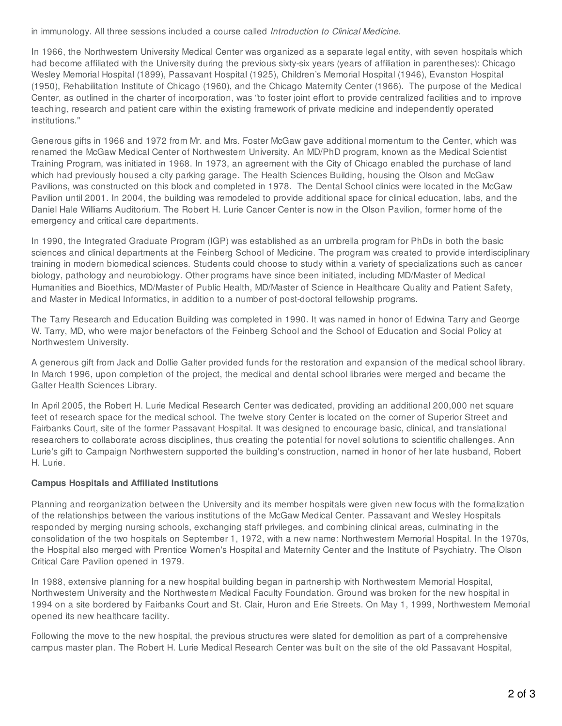in immunology. All three sessions included a course called *Introduction to Clinical Medicine*.

In 1966, the Northwestern University Medical Center was organized as a separate legal entity, with seven hospitals which had become affiliated with the University during the previous sixty-six years (years of affiliation in parentheses): Chicago Wesley Memorial Hospital (1899), Passavant Hospital (1925), Children's Memorial Hospital (1946), Evanston Hospital (1950), Rehabilitation Institute of Chicago (1960), and the Chicago Maternity Center (1966). The purpose of the Medical Center, as outlined in the charter of incorporation, was "to foster joint effort to provide centralized facilities and to improve teaching, research and patient care within the existing framework of private medicine and independently operated institutions."

Generous gifts in 1966 and 1972 from Mr. and Mrs. Foster McGaw gave additional momentum to the Center, which was renamed the McGaw Medical Center of Northwestern University. An MD/PhD program, known as the Medical Scientist Training Program, was initiated in 1968. In 1973, an agreement with the City of Chicago enabled the purchase of land which had previously housed a city parking garage. The Health Sciences Building, housing the Olson and McGaw Pavilions, was constructed on this block and completed in 1978. The Dental School clinics were located in the McGaw Pavilion until 2001. In 2004, the building was remodeled to provide additional space for clinical education, labs, and the Daniel Hale Williams Auditorium. The Robert H. Lurie Cancer Center is now in the Olson Pavilion, former home of the emergency and critical care departments.

In 1990, the Integrated Graduate Program (IGP) was established as an umbrella program for PhDs in both the basic sciences and clinical departments at the Feinberg School of Medicine. The program was created to provide interdisciplinary training in modern biomedical sciences. Students could choose to study within a variety of specializations such as cancer biology, pathology and neurobiology. Other programs have since been initiated, including MD/Master of Medical Humanities and Bioethics, MD/Master of Public Health, MD/Master of Science in Healthcare Quality and Patient Safety, and Master in Medical Informatics, in addition to a number of post-doctoral fellowship programs.

The Tarry Research and Education Building was completed in 1990. It was named in honor of Edwina Tarry and George W. Tarry, MD, who were major benefactors of the Feinberg School and the School of Education and Social Policy at Northwestern University.

A generous gift from Jack and Dollie Galter provided funds for the restoration and expansion of the medical school library. In March 1996, upon completion of the project, the medical and dental school libraries were merged and became the Galter Health Sciences Library.

In April 2005, the Robert H. Lurie Medical Research Center was dedicated, providing an additional 200,000 net square feet of research space for the medical school. The twelve story Center is located on the corner of Superior Street and Fairbanks Court, site of the former Passavant Hospital. It was designed to encourage basic, clinical, and translational researchers to collaborate across disciplines, thus creating the potential for novel solutions to scientific challenges. Ann Lurie's gift to Campaign Northwestern supported the building's construction, named in honor of her late husband, Robert H. Lurie.

# **Campus Hospitals and Affiliated Institutions**

Planning and reorganization between the University and its member hospitals were given new focus with the formalization of the relationships between the various institutions of the McGaw Medical Center. Passavant and Wesley Hospitals responded by merging nursing schools, exchanging staff privileges, and combining clinical areas, culminating in the consolidation of the two hospitals on September 1, 1972, with a new name: Northwestern Memorial Hospital. In the 1970s, the Hospital also merged with Prentice Women's Hospital and Maternity Center and the Institute of Psychiatry. The Olson Critical Care Pavilion opened in 1979.

In 1988, extensive planning for a new hospital building began in partnership with Northwestern Memorial Hospital, Northwestern University and the Northwestern Medical Faculty Foundation. Ground was broken for the new hospital in 1994 on a site bordered by Fairbanks Court and St. Clair, Huron and Erie Streets. On May 1, 1999, Northwestern Memorial opened its new healthcare facility.

Following the move to the new hospital, the previous structures were slated for demolition as part of a comprehensive campus master plan. The Robert H. Lurie Medical Research Center was built on the site of the old Passavant Hospital,